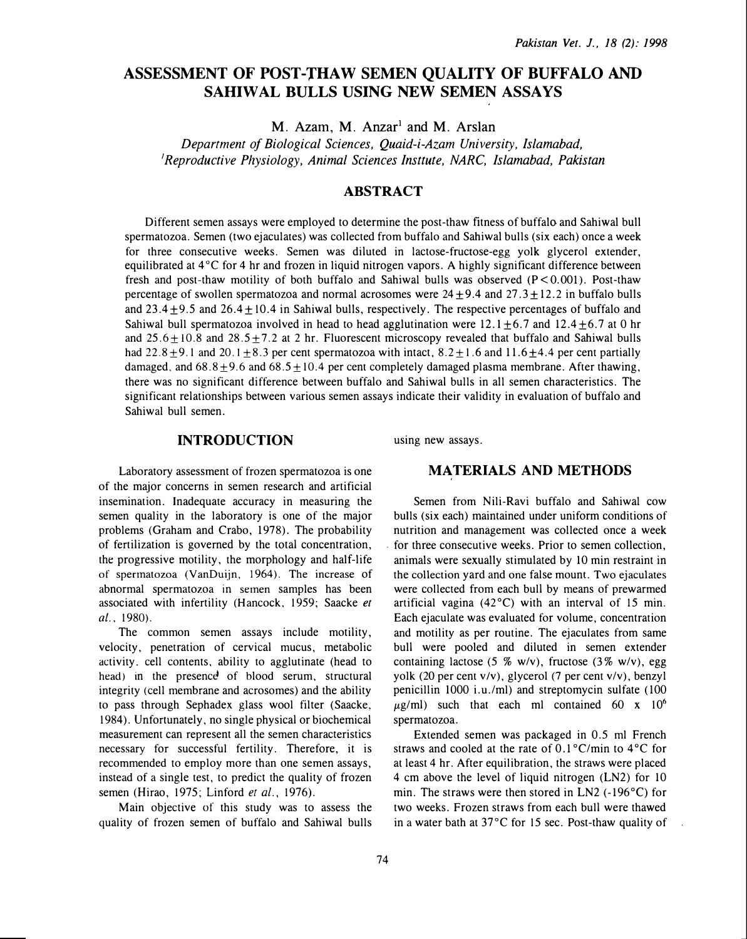# ASSESSMENT OF POST-THAW SEMEN QUALITY OF BUFFALO AND SAHIWAL BULLS USING NEW SEMEN ASSAYS

 $M.$  Azam, M. Anzar<sup>1</sup> and M. Arslan

Department of Biological Sciences, Quaid-i-Azam University, Islamabad, 'Reproductive Physiology, Animal Sciences Insttute, NARC, Islamabad, Pakistan

# ABSTRACT

Different semen assays were employed to determine the post -thaw fitness of buffalo and Sahiwal bull spermatozoa. Semen (two ejaculates) was collected from buffalo and Sahiwal bulls (six each) once a week for three consecutive weeks. Semen was diluted in lactose-fructose-egg yolk glycerol extender, equilibrated at  $4^{\circ}$ C for 4 hr and frozen in liquid nitrogen vapors. A highly significant difference between fresh and post-thaw motility of both buffalo and Sahiwal bulls was observed  $(P < 0.001)$ . Post-thaw percentage of swollen spermatozoa and normal acrosomes were  $24 + 9.4$  and  $27.3 + 12.2$  in buffalo bulls and  $23.4\pm9.5$  and  $26.4\pm10.4$  in Sahiwal bulls, respectively. The respective percentages of buffalo and Sahiwal bull spermatozoa involved in head to head agglutination were  $12.1 \pm 6.7$  and  $12.4 \pm 6.7$  at 0 hr and  $25.6 \pm 10.8$  and  $28.5 \pm 7.2$  at 2 hr. Fluorescent microscopy revealed that buffalo and Sahiwal bulls had  $22.8 \pm 9.1$  and  $20.1 \pm 8.3$  per cent spermatozoa with intact,  $8.2 \pm 1.6$  and  $11.6 \pm 4.4$  per cent partially damaged, and  $68.8 \pm 9.6$  and  $68.5 \pm 10.4$  per cent completely damaged plasma membrane. After thawing, there was no significant difference between buffalo and Sahiwal bulls in all semen characteristics. The significant relationships between various semen assays indicate their validity in evaluation of buffalo and Sahiwal bull semen.

# INTRODUCTION

Laboratory assessment of frozen spermatozoa is one of the major concerns in semen research and artificial insemination. Inadequate accuracy in measuring the semen quality in the laboratory is one of the major problems (Graham and Crabo, 1978). The probability of fertilization is governed by the total concentration, the progressive motility, the morphology and half-life of spermatozoa (VanDuijn, 1964). The increase of abnormal spermatozoa in semen samples has been associated with infertility (Hancock, 1959; Saacke et al., 1980).

The common semen assays include motility, velocity, penetration of cervical mucus, metabolic activity. cell contents, ability to agglutinate (head to head) in the presence of blood serum, structural integrity (cell membrane and acrosomes) and the ability to pass through Sephadex glass wool filter (Saacke, 1984). Unfortunately, no single physical or biochemical measurement can represent all the semen characteristics necessary for successful fertility. Therefore, it is recommended to employ more than one semen assays, instead of a single test, to predict the quality of frozen semen (Hirao, 1975; Linford et al., 1976).

Main objective of this study was to assess the quality of frozen semen of buffalo and Sahiwal bulls using new assays.

# MATERIALS AND METHODS

Semen from Nili-Ravi buffalo and Sahiwal cow bulls (six each) maintained under uniform conditions of nutrition and management was collected once a week for three consecutive weeks. Prior to semen collection, animals were sexually stimulated by 10 min restraint in the collection yard and one false mount. Two ejaculates were collected from each bull by means of prewarmed artificial vagina  $(42^{\circ}C)$  with an interval of 15 min. Each ejaculate was evaluated for volume, concentration and motility as per routine. The ejaculates from same bull were pooled and diluted in semen extender containing lactose (5 % w/v), fructose (3% w/v), egg yolk (20 per cent v/v), glycerol (7 per cent v/v), benzyl penicillin 1000 i.u./ml) and streptomycin sulfate (100  $\mu$ g/ml) such that each ml contained 60 x 10<sup>6</sup> spermatozoa.

Extended semen was packaged in 0.5 ml French straws and cooled at the rate of  $0.1\degree$ C/min to  $4\degree$ C for at least 4 hr. After equilibration, the straws were placed 4 em above the level of liquid nitrogen (LN2) for 10 min. The straws were then stored in LN2 (-196°C) for two weeks. Frozen straws from each bull were thawed in a water bath at  $37^{\circ}$ C for 15 sec. Post-thaw quality of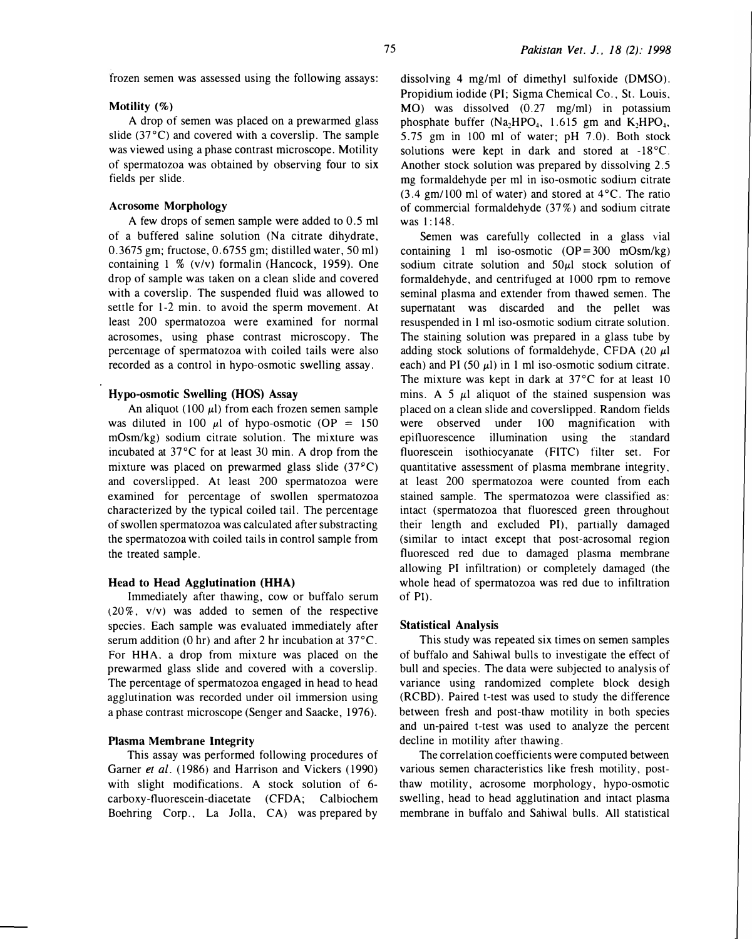frozen semen was assessed using the following assays:

### Motility (%)

A drop of semen was placed on a prewarmed glass slide (37°C) and covered with a coverslip. The sample was viewed using a phase contrast microscope. Motility of spermatozoa was obtained by observing four to six fields per slide.

# Acrosome Morphology

A few drops of semen sample were added to 0.5 ml of a buffered saline solution (Na citrate dihydrate, 0.3675 gm; fructose, 0.6755 gm; distilled water, 50 ml) containing 1 % (v/v) formalin (Hancock, 1959). One drop of sample was taken on a clean slide and covered with a coverslip. The suspended fluid was allowed to settle for 1-2 min. to avoid the sperm movement. At least 200 spermatozoa were examined for normal acrosomes, using phase contrast microscopy. The percentage of spermatozoa with coiled tails were also recorded as a control in hypo-osmotic swelling assay.

# Hypo-osmotic Swelling (HOS) Assay

An aliquot (100  $\mu$ l) from each frozen semen sample was diluted in 100  $\mu$ l of hypo-osmotic (OP = 150 mOsm/kg) sodium citrate solution. The mixture was incubated at 37°C for at least 30 min. A drop from the mixture was placed on prewarmed glass slide  $(37^{\circ}C)$ and coverslipped. At least 200 spermatozoa were examined for percentage of swollen spermatozoa characterized by the typical coiled tail. The percentage of swollen spermatozoa was calculated after substracting the spermatozoa with coiled tails in control sample from the treated sample.

### Head to Head Agglutination (HHA)

Immediately after thawing, cow or buffalo serum (20%, v/v) was added to semen of the respective species. Each sample was evaluated immediately after serum addition (0 hr) and after 2 hr incubation at 37°C. For HHA. a drop from mixture was placed on the prewarmed glass slide and covered with a coverslip. The percentage of spermatozoa engaged in head to head agglutination was recorded under oil immersion using a phase contrast microscope (Senger and Saacke, 1976).

## Plasma Membrane Integrity

This assay was performed following procedures of Garner et al. (1986) and Harrison and Vickers (1990) with slight modifications. A stock solution of 6 carboxy-fluorescein-diacetate (CFDA; Calbiochem Boehring Corp., La Jolla. CA) was prepared by

dissolving 4 mg/ml of dimethyl sulfoxide (DMSO). Propidium iodide (PI; Sigma Chemical Co., St. Louis. MO) was dissolved (0.27 mg/ml) in potassium phosphate buffer  $(Na_2HPO_4, 1.615$  gm and  $K_2HPO_4$ , 5.75 gm in 100 ml of water; pH 7.0). Both stock solutions were kept in dark and stored at  $-18^{\circ}$ C. Another stock solution was prepared by dissolving 2.5 mg formaldehyde per ml in iso-osmotic sodium citrate  $(3.4 \text{ gm}/100 \text{ ml of water})$  and stored at  $4^{\circ}$ C. The ratio of commercial formaldehyde (37%) and sodium citrate was 1:148.

Semen was carefully collected in a glass vial containing 1 ml iso-osmotic  $OP = 300$  mOsm/kg) sodium citrate solution and  $50\mu l$  stock solution of formaldehyde, and centrifuged at 1000 rpm to remove seminal plasma and extender from thawed semen. The supernatant was discarded and the pellet was resuspended in 1 ml iso-osmotic sodium citrate solution. The staining solution was prepared in a glass tube by adding stock solutions of formaldehyde, CFDA (20  $\mu$ l each) and PI (50  $\mu$ l) in 1 ml iso-osmotic sodium citrate. The mixture was kept in dark at 37°C for at least 10 mins. A 5  $\mu$ l aliquot of the stained suspension was placed on a clean slide and coverslipped. Random fields were observed under 100 magnification with epitluorescence illumination using the standard fluorescein isothiocyanate (FITC) filter set. For quantitative assessment of plasma membrane integrity. at least 200 spermatozoa were counted from each stained sample. The spermatozoa were classified as: intact (spermatozoa that fluoresced green throughout their length and excluded PI), partially damaged (similar to intact except that post-acrosomal region fluoresced red due to damaged plasma membrane allowing PI infiltration) or completely damaged (the whole head of spermatozoa was red due to infiltration of PI).

#### Statistical Analysis

This study was repeated six times on semen samples of buffalo and Sahiwal bulls to investigate the effect of bull and species. The data were subjected to analysis of variance using randomized complete block desigh (RCBD). Paired t-test was used to study the difference between fresh and post-thaw motility in both species and un-paired t-test was used to analyze the percent decline in motility after thawing.

The correlation coefficients were computed between various semen characteristics like fresh motility, postthaw motility, acrosome morphology, hypo-osmotic swelling, head to head agglutination and intact plasma membrane in buffalo and Sahiwal bulls. All statistical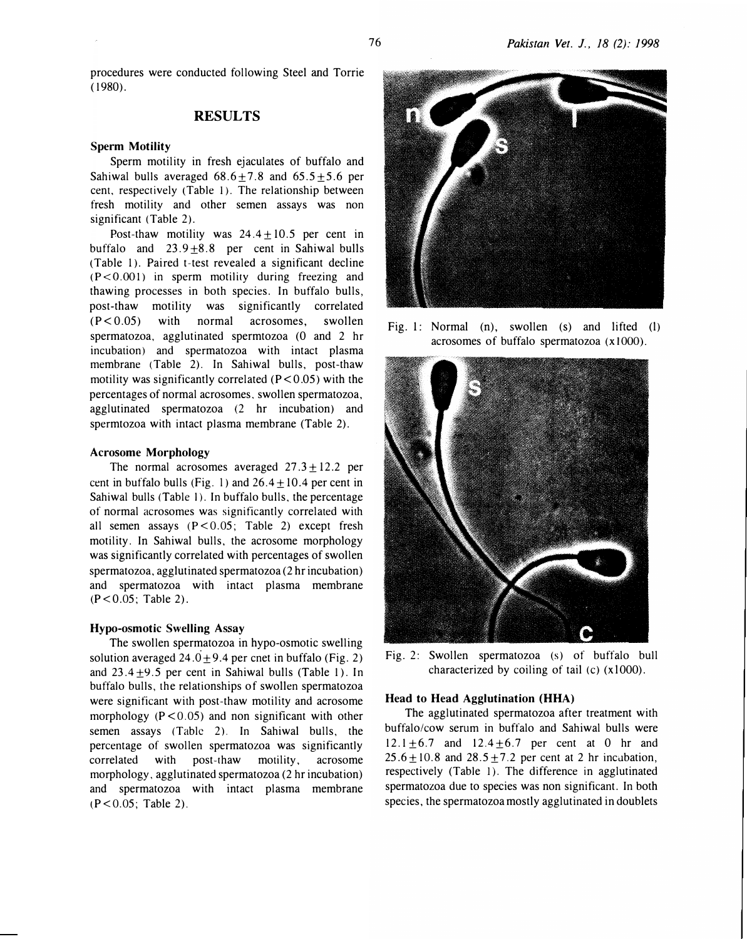procedures were conducted following Steel and Torrie ( 1980).

# RESULTS

#### Sperm Motility

Sperm motility in fresh ejaculates of buffalo and Sahiwal bulls averaged  $68.6 + 7.8$  and  $65.5 + 5.6$  per cent, respectively (Table I). The relationship between fresh motility and other semen assays was non significant (Table 2).

Post-thaw motility was  $24.4 + 10.5$  per cent in buffalo and  $23.9 \pm 8.8$  per cent in Sahiwal bulls (Table 1). Paired t-test revealed a significant decline  $(P<0.001)$  in sperm motility during freezing and thawing processes in both species. In buffalo bulls, post-thaw motility was significantly correlated  $(P < 0.05)$  with normal acrosomes, swollen spermatozoa, agglutinated spermtozoa (0 and 2 hr incubation) and spermatozoa with intact plasma membrane (Table 2). In Sahiwal bulls, post-thaw motility was significantly correlated  $(P < 0.05)$  with the percentages of normal acrosomes. swollen spermatozoa, agglutinated spermatozoa (2 hr incubation) and spermtozoa with intact plasma membrane (Table 2).

#### Acrosome Morphology

The normal acrosomes averaged  $27.3 + 12.2$  per cent in buffalo bulls (Fig. 1) and  $26.4 + 10.4$  per cent in Sahiwal bulls (Table 1). In buffalo bulls, the percentage of normal acrosomes was significantly correlated with all semen assays  $(P < 0.05$ ; Table 2) except fresh motility. In Sahiwal bulls. the acrosome morphology was significantly correlated with percentages of swollen spermatozoa. agglutinated spermatozoa (2 hr incubation) and spermatozoa with intact plasma membrane (P<0.05; Table 2).

#### Hypo-osmotic Swelling Assay

The swollen spermatozoa in hypo-osmotic swelling solution averaged 24.0 $\pm$ 9.4 per cnet in buffalo (Fig. 2) and  $23.4 \pm 9.5$  per cent in Sahiwal bulls (Table 1). In buffalo bulls, the relationships of swollen spermatozoa were significant with post-thaw motility and acrosome morphology  $(P < 0.05)$  and non significant with other semen assays (Table 2). In Sahiwal bulls, the percentage of swollen spermatozoa was significantly correlated with post-thaw motility, acrosome morphology, agglutinated spermatozoa (2 hr incubation) and spermatozoa with intact plasma membrane  $(P < 0.05$ ; Table 2).



Fig. 1: Normal (n), swollen (s) and lifted (l) acrosomes of buffalo spermatozoa  $(x1000)$ .



Fig. 2: Swollen spermatozoa (s) of buffalo bull characterized by coiling of tail  $(c)$   $(x1000)$ .

### Head to Head Agglutination (HHA)

The agglutinated spermatozoa after treatment with buffalo/cow serum in buffalo and Sahiwal bulls were  $12.1 \pm 6.7$  and  $12.4 \pm 6.7$  per cent at 0 hr and  $25.6 \pm 10.8$  and  $28.5 \pm 7.2$  per cent at 2 hr incubation, respectively (Table 1). The difference in agglutinated spermatozoa due to species was non significant. In both species, the spermatozoa mostly agglutinated in doublets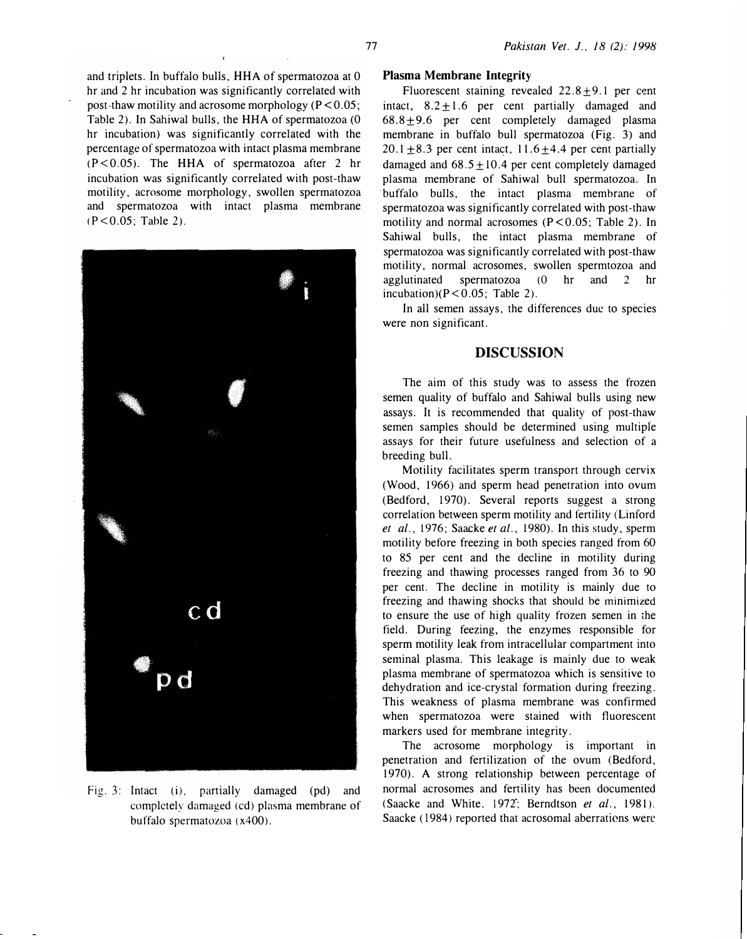and triplets. In buffalo bulls, HHA of spermatozoa at 0 hr and 2 hr incubation was significantly correlated with post-thaw motility and acrosome morphology ( $P < 0.05$ ; Table 2). In Sahiwal bulls, the HHA of spermatozoa (0 hr incubation) was significantly correlated with the percentage of spermatozoa with intact plasma membrane (P<0.05). The HHA of spermatozoa after 2 hr incubation was significantly correlated with post-thaw motility, acrosome morphology, swollen spermatozoa and spermatozoa with intact plasma membrane (P<0.05; Tahle 2).



Fig. 3: Intact (i), partially damaged (pd) and completely damaged (cd) plasma membrane of buffalo spermatozoa (x400).

## Plasma Membrane Integrity

Fluorescent staining revealed  $22.8 \pm 9.1$  per cent intact,  $8.2 + 1.6$  per cent partially damaged and  $68.8 \pm 9.6$  per cent completely damaged plasma membrane in buffalo bull spermatozoa (Fig. 3) and 20.1  $\pm$ 8.3 per cent intact, 11.6  $\pm$ 4.4 per cent partially damaged and  $68.5 + 10.4$  per cent completely damaged plasma membrane of Sahiwal bull spermatozoa. In buffalo bulls, the intact plasma membrane of spermatozoa was significantly correlated with post-thaw motility and normal acrosomes  $(P < 0.05$ ; Table 2). In Sahiwal bulls, the intact plasma membrane of spermatozoa was significantly correlated with post-thaw motility, normal acrosomes, swollen spermtozoa and agglutinated spermatozoa (0 hr and 2 hr incubation) $(P < 0.05$ ; Table 2).

In all semen assays, the differences due to species were non significant.

# DISCUSSION

The aim of this study was to assess the frozen semen quality of buffalo and Sahiwal bulls using new assays. It is recommended that quality of post-thaw semen samples should be determined using multiple assays for their future usefulness and selection of a breeding bull.

Motility facilitates sperm transport through cervix (Wood, 1966) and sperm head penetration into ovum (Bedford, 1970). Several reports suggest a strong correlation between sperm motility and fertility (Linford et al., 1976; Saacke et al., 1980). In this study, sperm motility before freezing in both species ranged from 60 to 85 per cent and the decline in motility during freezing and thawing processes ranged from 36 to 90 per cent. The decline in motility is mainly due to freezing and thawing shocks that should be minimized to ensure the use of high quality frozen semen in the field. During feezing, the enzymes responsible for sperm motility leak from intracellular compartment into seminal plasma. This leakage is mainly due to weak plasma membrane of spermatozoa which is sensitive to dehydration and ice-crystal formation during freezing. This weakness of plasma membrane was confirmed when spermatozoa were stained with fluorescent markers used for membrane integrity.

The acrosome morphology is important in penetration and fertilization of the ovum (Bedford, 1970). A strong relationship between percentage of normal acrosomes and fertility has been documented (Saacke and White, 1972; Berndtson et al., 1981). Saacke ( 1984) reported that acrosomal aberrations were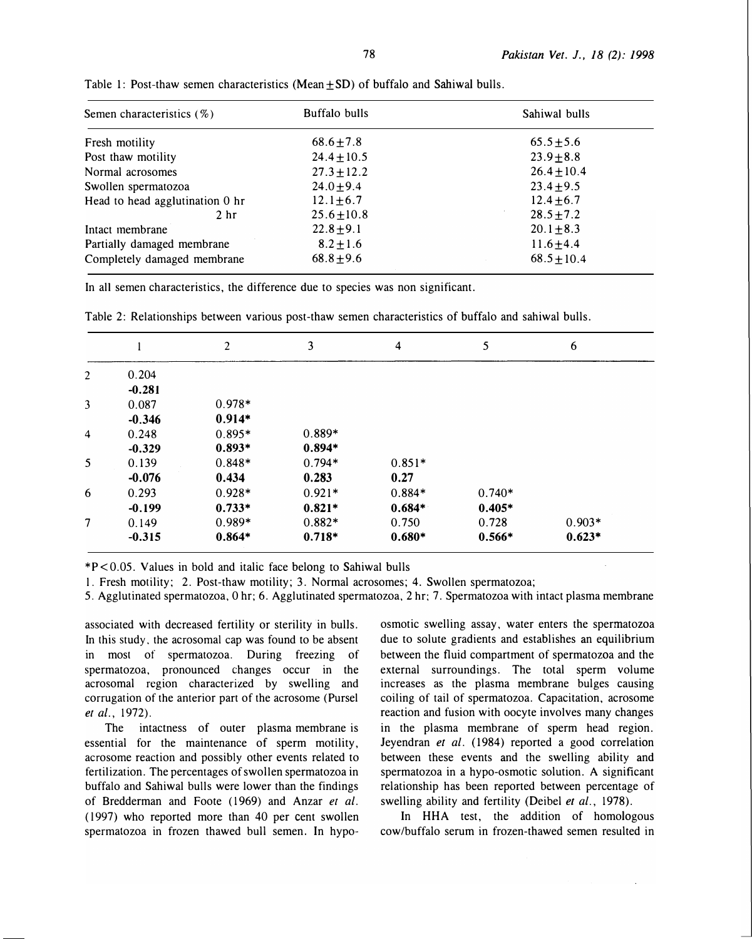| Semen characteristics $(\%)$    | Buffalo bulls   | Sahiwal bulls   |  |
|---------------------------------|-----------------|-----------------|--|
| Fresh motility                  | $68.6 \pm 7.8$  | $65.5 \pm 5.6$  |  |
| Post thaw motility              | $24.4 \pm 10.5$ | $23.9 \pm 8.8$  |  |
| Normal acrosomes                | $27.3 \pm 12.2$ | $26.4 \pm 10.4$ |  |
| Swollen spermatozoa             | $24.0 \pm 9.4$  | $23.4 \pm 9.5$  |  |
| Head to head agglutination 0 hr | $12.1 + 6.7$    | $12.4 \pm 6.7$  |  |
| 2 <sub>hr</sub>                 | $25.6 \pm 10.8$ | $28.5 \pm 7.2$  |  |
| Intact membrane                 | $22.8 + 9.1$    | $20.1 \pm 8.3$  |  |
| Partially damaged membrane      | $8.2 \pm 1.6$   | $11.6 \pm 4.4$  |  |
| Completely damaged membrane     | $68.8 \pm 9.6$  | $68.5 + 10.4$   |  |

Table 1: Post-thaw semen characteristics (Mean  $+SD$ ) of buffalo and Sahiwal bulls.

In all semen characteristics, the difference due to species was non significant.

|   |          | $\overline{c}$ | 3        | 4        | 5        | 6        |
|---|----------|----------------|----------|----------|----------|----------|
| 2 | 0.204    |                |          |          |          |          |
|   | $-0.281$ |                |          |          |          |          |
| 3 | 0.087    | $0.978*$       |          |          |          |          |
|   | $-0.346$ | $0.914*$       |          |          |          |          |
| 4 | 0.248    | $0.895*$       | $0.889*$ |          |          |          |
|   | $-0.329$ | $0.893*$       | $0.894*$ |          |          |          |
| 5 | 0.139    | $0.848*$       | $0.794*$ | $0.851*$ |          |          |
|   | $-0.076$ | 0.434          | 0.283    | 0.27     |          |          |
| 6 | 0.293    | $0.928*$       | $0.921*$ | $0.884*$ | $0.740*$ |          |
|   | $-0.199$ | $0.733*$       | $0.821*$ | $0.684*$ | $0.405*$ |          |
| 7 | 0.149    | $0.989*$       | $0.882*$ | 0.750    | 0.728    | $0.903*$ |
|   | $-0.315$ | $0.864*$       | $0.718*$ | $0.680*$ | $0.566*$ | $0.623*$ |

Table 2: Relationships between various post-thaw semen characteristics of buffalo and sahiwal bulls.

\*P<0.05. Values in bold and italic face belong to Sahiwal bulls

I. Fresh motility; 2. Post-thaw motility; 3. Normal acrosomes; 4. Swollen spermatozoa;

5. Agglutinated spermatozoa, 0 hr; 6. Agglutinated spermatozoa, 2 hr; 7. Spermatozoa with intact plasma membrane

associated with decreased fertility or sterility in bulls. In this study, the acrosomal cap was found to be absent in most of spermatozoa. During freezing of spermatozoa, pronounced changes occur in the acrosomal region characterized by swelling and corrugation of the anterior part of the acrosome (Pursel et al., 1972).

The intactness of outer plasma membrane is essential for the maintenance of sperm motility, acrosome reaction and possibly other events related to fertilization. The percentages of swollen spermatozoa in buffalo and Sahiwal bulls were lower than the findings of Bredderman and Foote (1969) and Anzar et al. ( 1997) who reported more than 40 per cent swollen spermatozoa in frozen thawed bull semen. In hypoosmotic swelling assay, water enters the spermatozoa due to solute gradients and establishes an equilibrium between the fluid compartment of spermatozoa and the external surroundings. The total sperm volume increases as the plasma membrane bulges causing coiling of tail of spermatozoa. Capacitation, acrosome reaction and fusion with oocyte involves many changes in the plasma membrane of sperm head region. Jeyendran et al. (1984) reported a good correlation between these events and the swelling ability and spermatozoa in a hypo-osmotic solution. A significant relationship has been reported between percentage of swelling ability and fertility (Deibel et al., 1978).

In HHA test, the addition of homologous cow /buffalo serum in frozen-thawed semen resulted in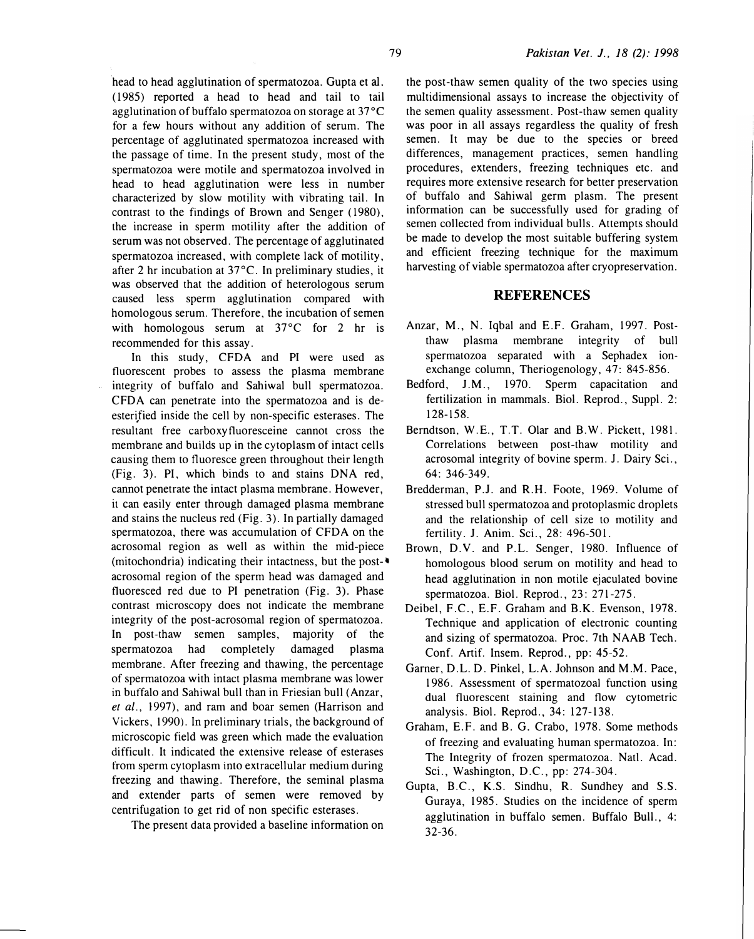head to head agglutination of spermatozoa. Gupta et al. ( 1985) reported a head to head and tail to tail agglutination of buffalo spermatozoa on storage at  $37^{\circ}$ C for a few hours without any addition of serum. The percentage of agglutinated spermatozoa increased with the passage of time. In the present study, most of the spermatozoa were motile and spermatozoa involved in head to head agglutination were less in number characterized by slow motility with vibrating tail. In contrast to the findings of Brown and Senger ( 1980), the increase in sperm motility after the addition of serum was not observed. The percentage of agglutinated spermatozoa increased, with complete lack of motility, after 2 hr incubation at 37°C. In preliminary studies, it was observed that the addition of heterologous serum caused less sperm agglutination compared with homologous serum. Therefore, the incubation of semen with homologous serum at 37°C for 2 hr is recommended for this assay.

In this study, CFDA and PI were used as fluorescent probes to assess the plasma membrane integrity of buffalo and Sahiwal bull spermatozoa. CFDA can penetrate into the spermatozoa and is deesterified inside the cell by non-specific esterases. The resultant free carboxyfluoresceine cannot cross the membrane and builds up in the cytoplasm of intact cells causing them to fluoresce green throughout their length (Fig. 3). PI. which binds to and stains DNA red, cannot penetrate the intact plasma membrane. However, it can easily enter through damaged plasma membrane and stains the nucleus red (Fig. 3). In partially damaged spermatozoa, there was accumulation of CFDA on the acrosomal region as well as within the mid-piece (mitochondria) indicating their intactness, but the post-• acrosomal region of the sperm head was damaged and fluoresced red due to PI penetration (Fig. 3). Phase contrast microscopy does not indicate the membrane integrity of the post-acrosomal region of spermatozoa. In post-thaw semen samples, majority of the spermatozoa had completely damaged plasma membrane. After freezing and thawing, the percentage of spermatozoa with intact plasma membrane was lower in buffalo and Sahiwal bull than in Friesian bull (Anzar, et  $al.$ , 1997), and ram and boar semen (Harrison and Vickers, 1990). In preliminary trials, the background of microscopic field was green which made the evaluation difficult. It indicated the extensive release of esterases from sperm cytoplasm into extracellular medium during freezing and thawing. Therefore, the seminal plasma and extender parts of semen were removed by centrifugation to get rid of non specific esterases.

The present data provided a baseline information on

the post-thaw semen quality of the two species using multidimensional assays to increase the objectivity of the semen quality assessment. Post-thaw semen quality was poor in all assays regardless the quality of fresh semen. It may be due to the species or breed differences, management practices, semen handling procedures, extenders, freezing techniques etc. and requires more extensive research for better preservation of buffalo and Sahiwal germ plasm. The present information can be successfully used for grading of semen collected from individual bulls. Attempts should be made to develop the most suitable buffering system and efficient freezing technique for the maximum harvesting of viable spermatozoa after cryopreservation.

# **REFERENCES**

- Anzar, M., N. Iqbal and E.F. Graham, 1997. Postthaw plasma membrane integrity of bull spermatozoa separated with a Sephadex ionexchange column, Theriogenology, 47: 845-856.
- Bedford, J.M., 1970. Sperm capacitation and fertilization in mammals. Biol. Reprod., Suppl. 2: 128-158.
- Berndtson, W.E., T.T. Olar and B.W. Pickett, 1981. Correlations between post-thaw motility and acrosomal integrity of bovine sperm. 1. Dairy Sci., 64: 346-349.
- Bredderman, P.J. and R.H. Foote, 1969. Volume of stressed bull spermatozoa and protoplasmic droplets and the relationship of cell size to motility and fertility. J. Anim. Sci., 28: 496-501.
- Brown, D.V. and P.L. Senger, 1980. Influence of homologous blood serum on motility and head to head agglutination in non motile ejaculated bovine spermatozoa. Biol. Reprod., 23: 271 -275.
- Deibel, F.C., E.F. Graham and B.K. Evenson, 1978. Technique and application of electronic counting and sizing of spermatozoa. Proc. 7th NAAB Tech. Conf. Artif. Insem. Reprod., pp: 45-52.
- Garner, D.L. D. Pinkel, L.A. Johnson and M.M. Pace, 1 986. Assessment of spermatozoal function using dual fluorescent staining and flow cytometric analysis. Biol. Reprod., 34: 127-138.
- Graham, E.F. and B. G. Crabo, 1978. Some methods of freezing and evaluating human spermatozoa. In: The Integrity of frozen spermatozoa. Natl. Acad. Sci., Washington, D.C., pp: 274-304.
- Gupta, B.C., K.S. Sindhu, R. Sundhey and S.S. Guraya, 1985. Studies on the incidence of sperm agglutination in buffalo semen. Buffalo Bull., 4: 32-36.